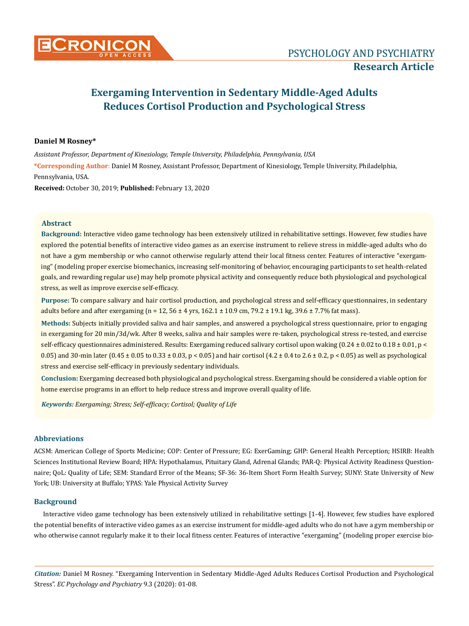# **Daniel M Rosney\***

*Assistant Professor, Department of Kinesiology, Temple University, Philadelphia, Pennsylvania, USA*

**\*Corresponding Author**: Daniel M Rosney, Assistant Professor, Department of Kinesiology, Temple University, Philadelphia, Pennsylvania, USA.

**Received:** October 30, 2019; **Published:** February 13, 2020

# **Abstract**

**Background:** Interactive video game technology has been extensively utilized in rehabilitative settings. However, few studies have explored the potential benefits of interactive video games as an exercise instrument to relieve stress in middle-aged adults who do not have a gym membership or who cannot otherwise regularly attend their local fitness center. Features of interactive "exergaming" (modeling proper exercise biomechanics, increasing self-monitoring of behavior, encouraging participants to set health-related goals, and rewarding regular use) may help promote physical activity and consequently reduce both physiological and psychological stress, as well as improve exercise self-efficacy.

**Purpose:** To compare salivary and hair cortisol production, and psychological stress and self-efficacy questionnaires, in sedentary adults before and after exergaming (n = 12,  $56 \pm 4$  yrs,  $162.1 \pm 10.9$  cm,  $79.2 \pm 19.1$  kg,  $39.6 \pm 7.7$ % fat mass).

**Methods:** Subjects initially provided saliva and hair samples, and answered a psychological stress questionnaire, prior to engaging in exergaming for 20 min/3d/wk. After 8 weeks, saliva and hair samples were re-taken, psychological stress re-tested, and exercise self-efficacy questionnaires administered. Results: Exergaming reduced salivary cortisol upon waking  $(0.24 \pm 0.02 \text{ to } 0.18 \pm 0.01, \text{p} <$ 0.05) and 30-min later (0.45  $\pm$  0.05 to 0.33  $\pm$  0.03, p < 0.05) and hair cortisol (4.2  $\pm$  0.4 to 2.6  $\pm$  0.2, p < 0.05) as well as psychological stress and exercise self-efficacy in previously sedentary individuals.

**Conclusion:** Exergaming decreased both physiological and psychological stress. Exergaming should be considered a viable option for home exercise programs in an effort to help reduce stress and improve overall quality of life.

*Keywords: Exergaming; Stress; Self-efficacy; Cortisol; Quality of Life*

# **Abbreviations**

ACSM: American College of Sports Medicine; COP: Center of Pressure; EG: ExerGaming; GHP: General Health Perception; HSIRB: Health Sciences Institutional Review Board; HPA: Hypothalamus, Pituitary Gland, Adrenal Glands; PAR-Q: Physical Activity Readiness Questionnaire; QoL: Quality of Life; SEM: Standard Error of the Means; SF-36: 36-Item Short Form Health Survey; SUNY: State University of New York; UB: University at Buffalo; YPAS: Yale Physical Activity Survey

# **Background**

Interactive video game technology has been extensively utilized in rehabilitative settings [1-4]. However, few studies have explored the potential benefits of interactive video games as an exercise instrument for middle-aged adults who do not have a gym membership or who otherwise cannot regularly make it to their local fitness center. Features of interactive "exergaming" (modeling proper exercise bio-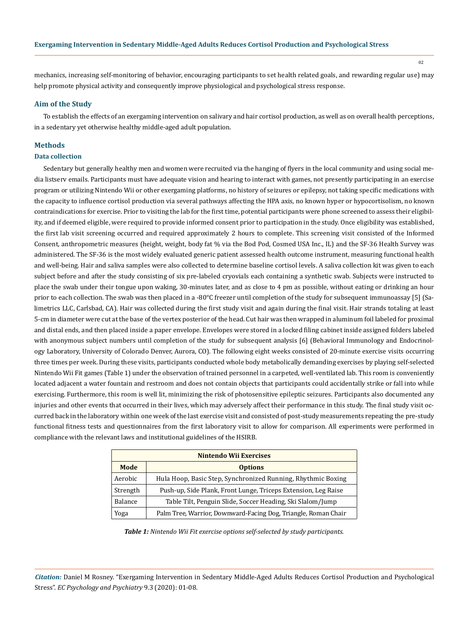mechanics, increasing self-monitoring of behavior, encouraging participants to set health related goals, and rewarding regular use) may help promote physical activity and consequently improve physiological and psychological stress response.

# **Aim of the Study**

To establish the effects of an exergaming intervention on salivary and hair cortisol production, as well as on overall health perceptions, in a sedentary yet otherwise healthy middle-aged adult population.

### **Methods**

### **Data collection**

Sedentary but generally healthy men and women were recruited via the hanging of flyers in the local community and using social media listserv emails. Participants must have adequate vision and hearing to interact with games, not presently participating in an exercise program or utilizing Nintendo Wii or other exergaming platforms, no history of seizures or epilepsy, not taking specific medications with the capacity to influence cortisol production via several pathways affecting the HPA axis, no known hyper or hypocortisolism, no known contraindications for exercise. Prior to visiting the lab for the first time, potential participants were phone screened to assess their eligibility, and if deemed eligible, were required to provide informed consent prior to participation in the study. Once eligibility was established, the first lab visit screening occurred and required approximately 2 hours to complete. This screening visit consisted of the Informed Consent, anthropometric measures (height, weight, body fat % via the Bod Pod, Cosmed USA Inc., IL) and the SF-36 Health Survey was administered. The SF-36 is the most widely evaluated generic patient assessed health outcome instrument, measuring functional health and well-being. Hair and saliva samples were also collected to determine baseline cortisol levels. A saliva collection kit was given to each subject before and after the study consisting of six pre-labeled cryovials each containing a synthetic swab. Subjects were instructed to place the swab under their tongue upon waking, 30-minutes later, and as close to 4 pm as possible, without eating or drinking an hour prior to each collection. The swab was then placed in a -80°C freezer until completion of the study for subsequent immunoassay [5] (Salimetrics LLC, Carlsbad, CA). Hair was collected during the first study visit and again during the final visit. Hair strands totaling at least 5-cm in diameter were cut at the base of the vertex posterior of the head. Cut hair was then wrapped in aluminum foil labeled for proximal and distal ends, and then placed inside a paper envelope. Envelopes were stored in a locked filing cabinet inside assigned folders labeled with anonymous subject numbers until completion of the study for subsequent analysis [6] (Behavioral Immunology and Endocrinology Laboratory, University of Colorado Denver, Aurora, CO). The following eight weeks consisted of 20-minute exercise visits occurring three times per week. During these visits, participants conducted whole body metabolically demanding exercises by playing self-selected Nintendo Wii Fit games (Table 1) under the observation of trained personnel in a carpeted, well-ventilated lab. This room is conveniently located adjacent a water fountain and restroom and does not contain objects that participants could accidentally strike or fall into while exercising. Furthermore, this room is well lit, minimizing the risk of photosensitive epileptic seizures. Participants also documented any injuries and other events that occurred in their lives, which may adversely affect their performance in this study. The final study visit occurred back in the laboratory within one week of the last exercise visit and consisted of post-study measurements repeating the pre-study functional fitness tests and questionnaires from the first laboratory visit to allow for comparison. All experiments were performed in compliance with the relevant laws and institutional guidelines of the HSIRB.

| <b>Nintendo Wii Exercises</b> |                                                                |  |  |
|-------------------------------|----------------------------------------------------------------|--|--|
| Mode                          | <b>Options</b>                                                 |  |  |
| Aerobic                       | Hula Hoop, Basic Step, Synchronized Running, Rhythmic Boxing   |  |  |
| Strength                      | Push-up, Side Plank, Front Lunge, Triceps Extension, Leg Raise |  |  |
| <b>Balance</b>                | Table Tilt, Penguin Slide, Soccer Heading, Ski Slalom/Jump     |  |  |
| Yoga                          | Palm Tree, Warrior, Downward-Facing Dog, Triangle, Roman Chair |  |  |

*Table 1: Nintendo Wii Fit exercise options self-selected by study participants.*

*Citation:* Daniel M Rosney. "Exergaming Intervention in Sedentary Middle-Aged Adults Reduces Cortisol Production and Psychological Stress". *EC Psychology and Psychiatry* 9.3 (2020): 01-08.

 $02$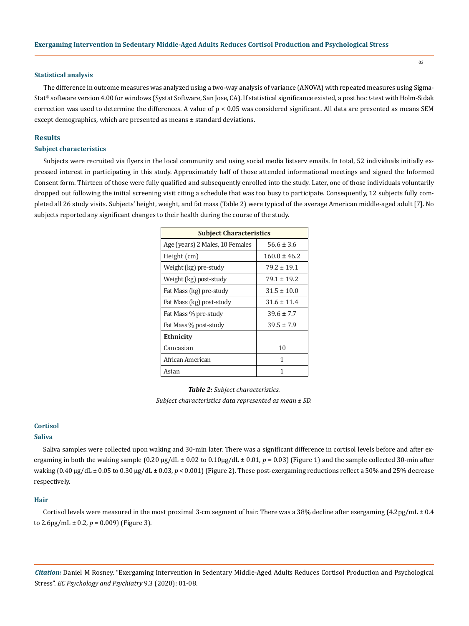#### **Statistical analysis**

The difference in outcome measures was analyzed using a two-way analysis of variance (ANOVA) with repeated measures using Sigma-Stat® software version 4.00 for windows (Systat Software, San Jose, CA). If statistical significance existed, a post hoc *t*-test with Holm-Sidak correction was used to determine the differences. A value of p < 0.05 was considered significant. All data are presented as means SEM except demographics, which are presented as means ± standard deviations.

# **Results**

# **Subject characteristics**

Subjects were recruited via flyers in the local community and using social media listserv emails. In total, 52 individuals initially expressed interest in participating in this study. Approximately half of those attended informational meetings and signed the Informed Consent form. Thirteen of those were fully qualified and subsequently enrolled into the study. Later, one of those individuals voluntarily dropped out following the initial screening visit citing a schedule that was too busy to participate. Consequently, 12 subjects fully completed all 26 study visits. Subjects' height, weight, and fat mass (Table 2) were typical of the average American middle-aged adult [7]. No subjects reported any significant changes to their health during the course of the study.

| <b>Subject Characteristics</b>  |                  |  |
|---------------------------------|------------------|--|
| Age (years) 2 Males, 10 Females | $56.6 \pm 3.6$   |  |
| Height (cm)                     | $160.0 \pm 46.2$ |  |
| Weight (kg) pre-study           | $79.2 \pm 19.1$  |  |
| Weight (kg) post-study          | $79.1 \pm 19.2$  |  |
| Fat Mass (kg) pre-study         | $31.5 \pm 10.0$  |  |
| Fat Mass (kg) post-study        | $31.6 + 11.4$    |  |
| Fat Mass % pre-study            | $39.6 \pm 7.7$   |  |
| Fat Mass % post-study           | $39.5 \pm 7.9$   |  |
| Ethnicity                       |                  |  |
| Caucasian                       | 10               |  |
| African American                | 1                |  |
| Asian                           | 1                |  |

*Table 2: Subject characteristics. Subject characteristics data represented as mean ± SD.* 

# **Cortisol**

#### **Saliva**

Saliva samples were collected upon waking and 30-min later. There was a significant difference in cortisol levels before and after exergaming in both the waking sample (0.20 μg/dL ± 0.02 to 0.10μg/dL ± 0.01, *p* = 0.03) (Figure 1) and the sample collected 30-min after waking (0.40 μg/dL ± 0.05 to 0.30 μg/dL ± 0.03, *p* < 0.001) (Figure 2). These post-exergaming reductions reflect a 50% and 25% decrease respectively.

#### **Hair**

Cortisol levels were measured in the most proximal 3-cm segment of hair. There was a 38% decline after exergaming  $(4.2pg/mL \pm 0.4)$ to  $2.6$ pg/mL  $\pm$  0.2,  $p = 0.009$ ) (Figure 3).

*Citation:* Daniel M Rosney. "Exergaming Intervention in Sedentary Middle-Aged Adults Reduces Cortisol Production and Psychological Stress". *EC Psychology and Psychiatry* 9.3 (2020): 01-08.

 $0<sup>3</sup>$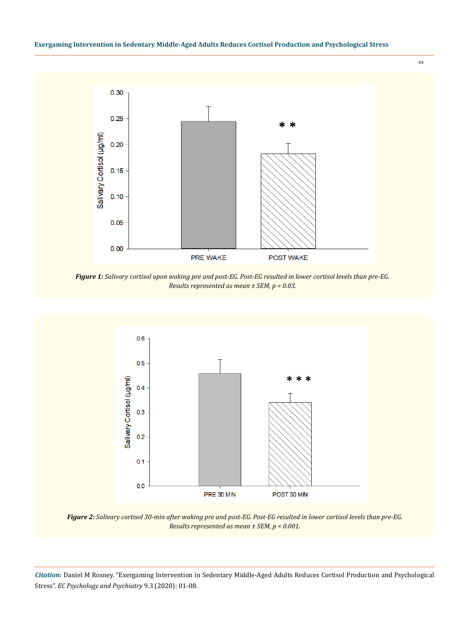

04

*Figure 1: Salivary cortisol upon waking pre and post-EG. Post-EG resulted in lower cortisol levels than pre-EG. Results represented as mean ± SEM, p = 0.03.*



*Figure 2: Salivary cortisol 30-min after waking pre and post-EG. Post-EG resulted in lower cortisol levels than pre-EG. Results represented as mean ± SEM, p < 0.001.*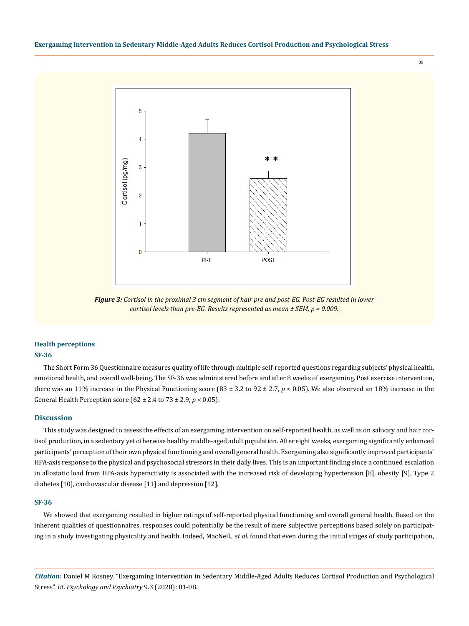05



*Figure 3: Cortisol in the proximal 3 cm segment of hair pre and post-EG. Post-EG resulted in lower cortisol levels than pre-EG. Results represented as mean ± SEM, p = 0.009.*

# **Health perceptions SF-36**

The Short Form 36 Questionnaire measures quality of life through multiple self-reported questions regarding subjects' physical health, emotional health, and overall well-being. The SF-36 was administered before and after 8 weeks of exergaming. Post exercise intervention, there was an 11% increase in the Physical Functioning score  $(83 \pm 3.2 \text{ to } 92 \pm 2.7, p < 0.05)$ . We also observed an 18% increase in the General Health Perception score (62 ± 2.4 to 73 ± 2.9, *p* < 0.05).

# **Discussion**

This study was designed to assess the effects of an exergaming intervention on self-reported health, as well as on salivary and hair cortisol production, in a sedentary yet otherwise healthy middle-aged adult population. After eight weeks, exergaming significantly enhanced participants' perception of their own physical functioning and overall general health. Exergaming also significantly improved participants' HPA-axis response to the physical and psychosocial stressors in their daily lives. This is an important finding since a continued escalation in allostatic load from HPA-axis hyperactivity is associated with the increased risk of developing hypertension [8], obesity [9], Type 2 diabetes [10], cardiovascular disease [11] and depression [12].

### **SF-36**

We showed that exergaming resulted in higher ratings of self-reported physical functioning and overall general health. Based on the inherent qualities of questionnaires, responses could potentially be the result of mere subjective perceptions based solely on participating in a study investigating physicality and health. Indeed, MacNeil., *et al.* found that even during the initial stages of study participation,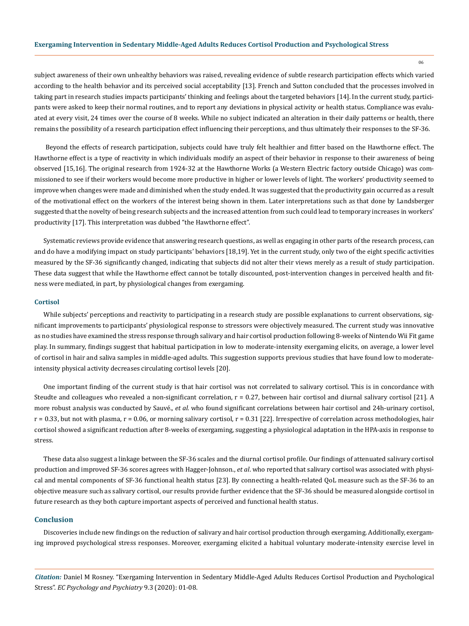06

subject awareness of their own unhealthy behaviors was raised, revealing evidence of subtle research participation effects which varied according to the health behavior and its perceived social acceptability [13]. French and Sutton concluded that the processes involved in taking part in research studies impacts participants' thinking and feelings about the targeted behaviors [14]. In the current study, participants were asked to keep their normal routines, and to report any deviations in physical activity or health status. Compliance was evaluated at every visit, 24 times over the course of 8 weeks. While no subject indicated an alteration in their daily patterns or health, there remains the possibility of a research participation effect influencing their perceptions, and thus ultimately their responses to the SF-36.

 Beyond the effects of research participation, subjects could have truly felt healthier and fitter based on the Hawthorne effect. The Hawthorne effect is a type of reactivity in which individuals modify an aspect of their behavior in response to their awareness of being observed [15,16]. The original research from 1924-32 at the Hawthorne Works (a Western Electric factory outside Chicago) was commissioned to see if their workers would become more productive in higher or lower levels of light. The workers' productivity seemed to improve when changes were made and diminished when the study ended. It was suggested that the productivity gain occurred as a result of the motivational effect on the workers of the interest being shown in them. Later interpretations such as that done by Landsberger suggested that the novelty of being research subjects and the increased attention from such could lead to temporary increases in workers' productivity [17]. This interpretation was dubbed "the Hawthorne effect".

Systematic reviews provide evidence that answering research questions, as well as engaging in other parts of the research process, can and do have a modifying impact on study participants' behaviors [18,19]. Yet in the current study, only two of the eight specific activities measured by the SF-36 significantly changed, indicating that subjects did not alter their views merely as a result of study participation. These data suggest that while the Hawthorne effect cannot be totally discounted, post-intervention changes in perceived health and fitness were mediated, in part, by physiological changes from exergaming.

#### **Cortisol**

While subjects' perceptions and reactivity to participating in a research study are possible explanations to current observations, significant improvements to participants' physiological response to stressors were objectively measured. The current study was innovative as no studies have examined the stress response through salivary and hair cortisol production following 8-weeks of Nintendo Wii Fit game play. In summary, findings suggest that habitual participation in low to moderate-intensity exergaming elicits, on average, a lower level of cortisol in hair and saliva samples in middle-aged adults. This suggestion supports previous studies that have found low to moderateintensity physical activity decreases circulating cortisol levels [20].

One important finding of the current study is that hair cortisol was not correlated to salivary cortisol. This is in concordance with Steudte and colleagues who revealed a non-significant correlation, r = 0.27, between hair cortisol and diurnal salivary cortisol [21]. A more robust analysis was conducted by Sauvé., *et al.* who found significant correlations between hair cortisol and 24h-urinary cortisol,  $r = 0.33$ , but not with plasma,  $r = 0.06$ , or morning salivary cortisol,  $r = 0.31$  [22]. Irrespective of correlation across methodologies, hair cortisol showed a significant reduction after 8-weeks of exergaming, suggesting a physiological adaptation in the HPA-axis in response to stress.

These data also suggest a linkage between the SF-36 scales and the diurnal cortisol profile. Our findings of attenuated salivary cortisol production and improved SF-36 scores agrees with Hagger-Johnson., *et al*. who reported that salivary cortisol was associated with physical and mental components of SF-36 functional health status [23]. By connecting a health-related QoL measure such as the SF-36 to an objective measure such as salivary cortisol, our results provide further evidence that the SF-36 should be measured alongside cortisol in future research as they both capture important aspects of perceived and functional health status.

### **Conclusion**

Discoveries include new findings on the reduction of salivary and hair cortisol production through exergaming. Additionally, exergaming improved psychological stress responses. Moreover, exergaming elicited a habitual voluntary moderate-intensity exercise level in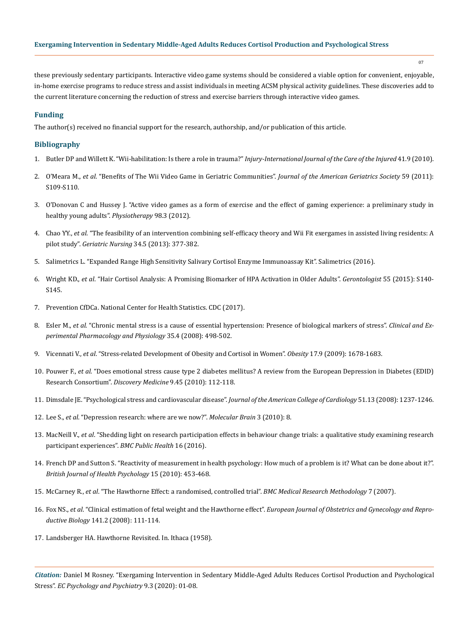07

these previously sedentary participants. Interactive video game systems should be considered a viable option for convenient, enjoyable, in-home exercise programs to reduce stress and assist individuals in meeting ACSM physical activity guidelines. These discoveries add to the current literature concerning the reduction of stress and exercise barriers through interactive video games.

# **Funding**

The author(s) received no financial support for the research, authorship, and/or publication of this article.

# **Bibliography**

- 1. [Butler DP and Willett K. "Wii-habilitation: Is there a role in trauma?"](https://www.ncbi.nlm.nih.gov/pubmed/20398899) *Injury-International Journal of the Care of the Injured* 41.9 (2010).
- 2. O'Meara M., *et al*. "Benefits of The Wii Video Game in Geriatric Communities". *Journal of the American Geriatrics Society* 59 (2011): S109-S110.
- 3. [O'Donovan C and Hussey J. "Active video games as a form of exercise and the effect of gaming experience: a preliminary study in](https://www.ncbi.nlm.nih.gov/pubmed/22898576)  [healthy young adults".](https://www.ncbi.nlm.nih.gov/pubmed/22898576) *Physiotherapy* 98.3 (2012).
- 4. Chao YY., *et al*[. "The feasibility of an intervention combining self-efficacy theory and Wii Fit exergames in assisted living residents: A](https://www.ncbi.nlm.nih.gov/pubmed/23764366)  pilot study". *Geriatric Nursing* [34.5 \(2013\): 377-382.](https://www.ncbi.nlm.nih.gov/pubmed/23764366)
- 5. [Salimetrics L. "Expanded Range High Sensitivity Salivary Cortisol Enzyme Immunoassay Kit". Salimetrics \(2016\).](C://Users/ACT/Downloads/Salivary%20Cortisol%20ELISA.pdf)
- 6. Wright KD., *et al*[. "Hair Cortisol Analysis: A Promising Biomarker of HPA Activation in Older Adults".](https://www.ncbi.nlm.nih.gov/pmc/articles/PMC4566915/) *Gerontologist* 55 (2015): S140- [S145.](https://www.ncbi.nlm.nih.gov/pmc/articles/PMC4566915/)
- 7. [Prevention CfDCa. National Center for Health Statistics. CDC \(2017\).](https://www.cdc.gov/nchs/index.htm)
- 8. Esler M., *et al*[. "Chronic mental stress is a cause of essential hypertension: Presence of biological markers of stress".](https://www.researchgate.net/publication/5544178_Chronic_mental_stress_is_a_cause_of_essential_hypertension_Presence_of_biological_markers_of_stress) *Clinical and Ex[perimental Pharmacology and Physiology](https://www.researchgate.net/publication/5544178_Chronic_mental_stress_is_a_cause_of_essential_hypertension_Presence_of_biological_markers_of_stress)* 35.4 (2008): 498-502.
- 9. Vicennati V., *et al*[. "Stress-related Development of Obesity and Cortisol in Women".](https://www.ncbi.nlm.nih.gov/pubmed/19300426) *Obesity* 17.9 (2009): 1678-1683.
- 10. Pouwer F., *et al*[. "Does emotional stress cause type 2 diabetes mellitus? A review from the European Depression in Diabetes \(EDID\)](https://www.ncbi.nlm.nih.gov/pubmed/20193636)  [Research Consortium".](https://www.ncbi.nlm.nih.gov/pubmed/20193636) *Discovery Medicine* 9.45 (2010): 112-118.
- 11. [Dimsdale JE. "Psychological stress and cardiovascular disease".](https://www.ncbi.nlm.nih.gov/pmc/articles/PMC2633295/) *Journal of the American College of Cardiology* 51.13 (2008): 1237-1246.
- 12. Lee S., *et al*[. "Depression research: where are we now?".](https://www.ncbi.nlm.nih.gov/pmc/articles/PMC2848031/) *Molecular Brain* 3 (2010): 8.
- 13. MacNeill V., *et al*[. "Shedding light on research participation effects in behaviour change trials: a qualitative study examining research](https://www.ncbi.nlm.nih.gov/pubmed/26825583)  [participant experiences".](https://www.ncbi.nlm.nih.gov/pubmed/26825583) *BMC Public Health* 16 (2016).
- 14. [French DP and Sutton S. "Reactivity of measurement in health psychology: How much of a problem is it? What can be done about it?".](https://www.ncbi.nlm.nih.gov/pubmed/20205982)  *[British Journal of Health Psychology](https://www.ncbi.nlm.nih.gov/pubmed/20205982)* 15 (2010): 453-468.
- 15. McCarney R., *et al*[. "The Hawthorne Effect: a randomised, controlled trial".](https://www.ncbi.nlm.nih.gov/pubmed/17608932) *BMC Medical Research Methodology* 7 (2007).
- 16. Fox NS., *et al*. "Clinical estimation of fetal weight and the Hawthorne effect". *[European Journal of Obstetrics and Gynecology and Repro](https://www.ncbi.nlm.nih.gov/pubmed/18771841)ductive Biology* [141.2 \(2008\): 111-114.](https://www.ncbi.nlm.nih.gov/pubmed/18771841)
- 17. Landsberger HA. Hawthorne Revisited. In. Ithaca (1958).